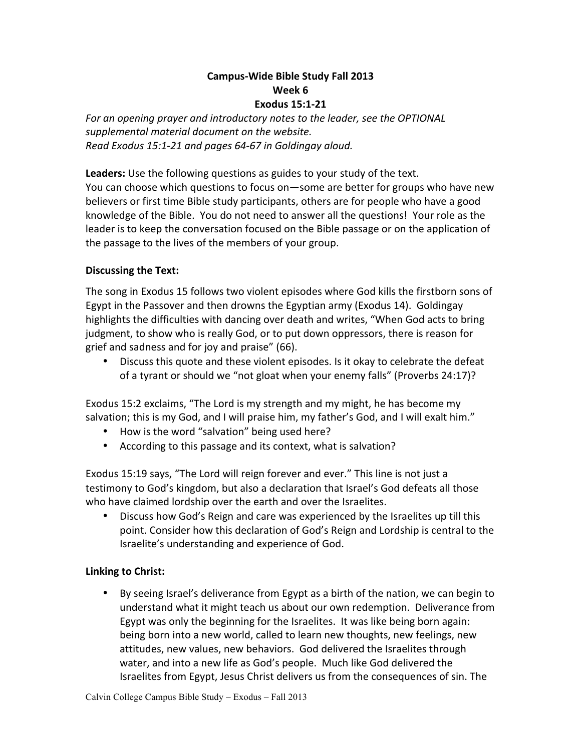## **Campus-Wide Bible Study Fall 2013 Week 6**

**Exodus 15:1-21**

For an opening prayer and introductory notes to the leader, see the OPTIONAL *supplemental material document on the website. Read Exodus 15:1-21 and pages 64-67 in Goldingay aloud.*

**Leaders:** Use the following questions as guides to your study of the text. You can choose which questions to focus on-some are better for groups who have new believers or first time Bible study participants, others are for people who have a good knowledge of the Bible. You do not need to answer all the questions! Your role as the leader is to keep the conversation focused on the Bible passage or on the application of the passage to the lives of the members of your group.

## **Discussing the Text:**

The song in Exodus 15 follows two violent episodes where God kills the firstborn sons of Egypt in the Passover and then drowns the Egyptian army (Exodus 14). Goldingay highlights the difficulties with dancing over death and writes, "When God acts to bring judgment, to show who is really God, or to put down oppressors, there is reason for grief and sadness and for joy and praise" (66).

• Discuss this quote and these violent episodes. Is it okay to celebrate the defeat of a tyrant or should we "not gloat when your enemy falls" (Proverbs 24:17)?

Exodus 15:2 exclaims, "The Lord is my strength and my might, he has become my salvation; this is my God, and I will praise him, my father's God, and I will exalt him."

- How is the word "salvation" being used here?
- According to this passage and its context, what is salvation?

Exodus 15:19 says, "The Lord will reign forever and ever." This line is not just a testimony to God's kingdom, but also a declaration that Israel's God defeats all those who have claimed lordship over the earth and over the Israelites.

• Discuss how God's Reign and care was experienced by the Israelites up till this point. Consider how this declaration of God's Reign and Lordship is central to the Israelite's understanding and experience of God.

## **Linking to Christ:**

• By seeing Israel's deliverance from Egypt as a birth of the nation, we can begin to understand what it might teach us about our own redemption. Deliverance from Egypt was only the beginning for the Israelites. It was like being born again: being born into a new world, called to learn new thoughts, new feelings, new attitudes, new values, new behaviors. God delivered the Israelites through water, and into a new life as God's people. Much like God delivered the Israelites from Egypt, Jesus Christ delivers us from the consequences of sin. The